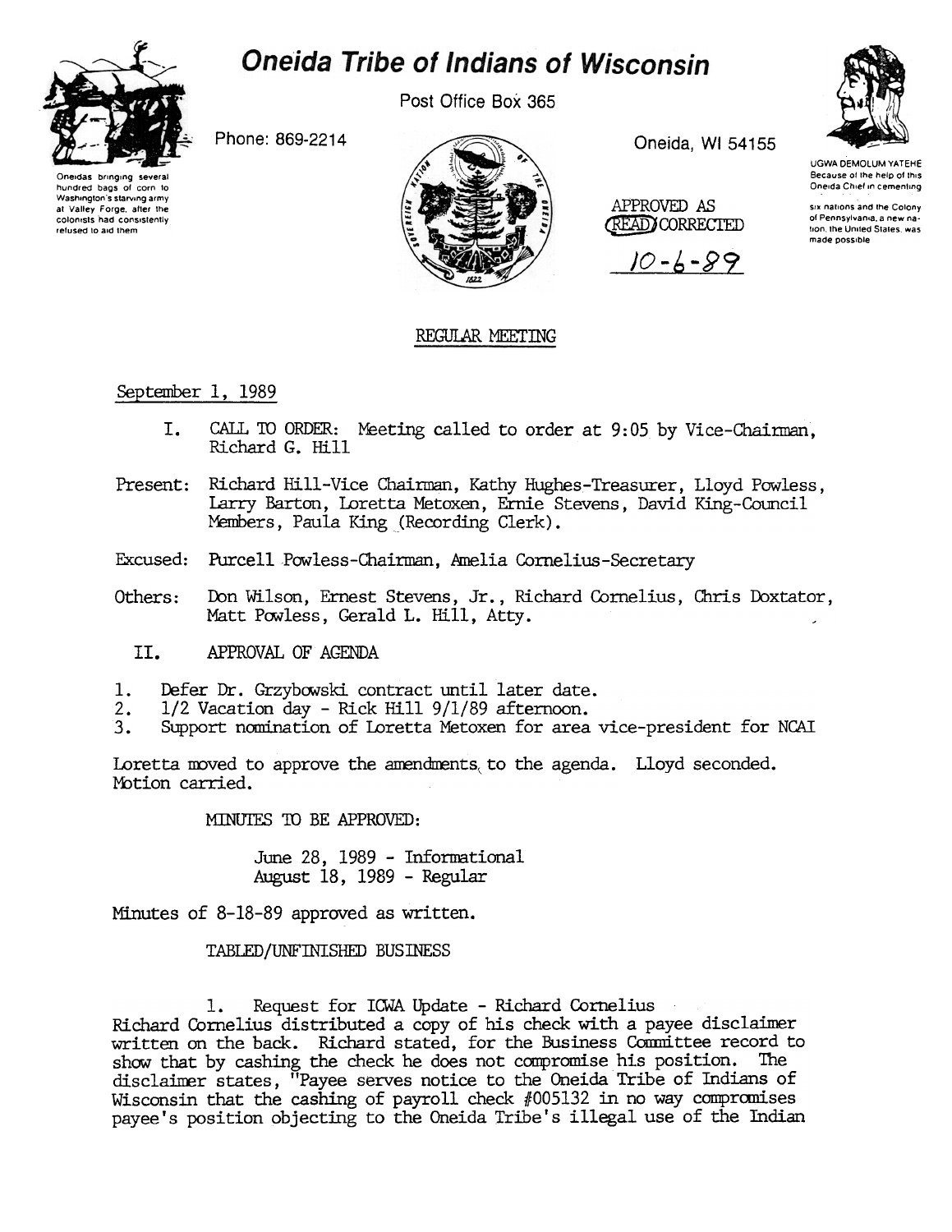

# **Oneida Tribe of Indians of Wisconsin**

Post Office Box 365

Phone: 869-2214





Oneida, WI 54155

APPROVED AS **READ CORRECTED** 





UGWA DEMOLUM YATEHE Because of the help of this Oneida Chief in cementing

six nations and the Colony of Pennsylvania, a new nation, the United States, was made possible

## REGULAR MEETING

September 1, 1989

- $T_{\star}$ CALL TO ORDER: Meeting called to order at 9:05 by Vice-Chairman. Richard G. Hill
- Present: Richard Hill-Vice Chairman, Kathy Hughes-Treasurer, Lloyd Powless, Larry Barton, Loretta Metoxen, Ernie Stevens, David King-Council Members, Paula King (Recording Clerk).
- Excused: Purcell Powless-Chairman, Amelia Cornelius-Secretary
- Others: Don Wilson, Ernest Stevens, Jr., Richard Cornelius, Chris Doxtator, Matt Powless, Gerald L. Hill, Atty.
	- II. APPROVAL OF AGENDA
- $1.$ Defer Dr. Grzybowski contract until later date.
- 1/2 Vacation day Rick Hill 9/1/89 afternoon.  $2.$
- 3. Support nomination of Loretta Metoxen for area vice-president for NCAI

Loretta moved to approve the amendments to the agenda. Lloyd seconded. Motion carried.

MINUTES TO BE APPROVED:

June 28, 1989 - Informational August 18, 1989 - Regular

Minutes of 8-18-89 approved as written.

TABLED/UNFINISHED BUSINESS

Request for ICWA Update - Richard Cornelius ı. Richard Cornelius distributed a copy of his check with a payee disclaimer written on the back. Richard stated, for the Business Committee record to show that by cashing the check he does not compromise his position. The disclaimer states, "Payee serves notice to the Oneida Tribe of Indians of Wisconsin that the cashing of payroll check  $#005132$  in no way compromises payee's position objecting to the Oneida Tribe's illegal use of the Indian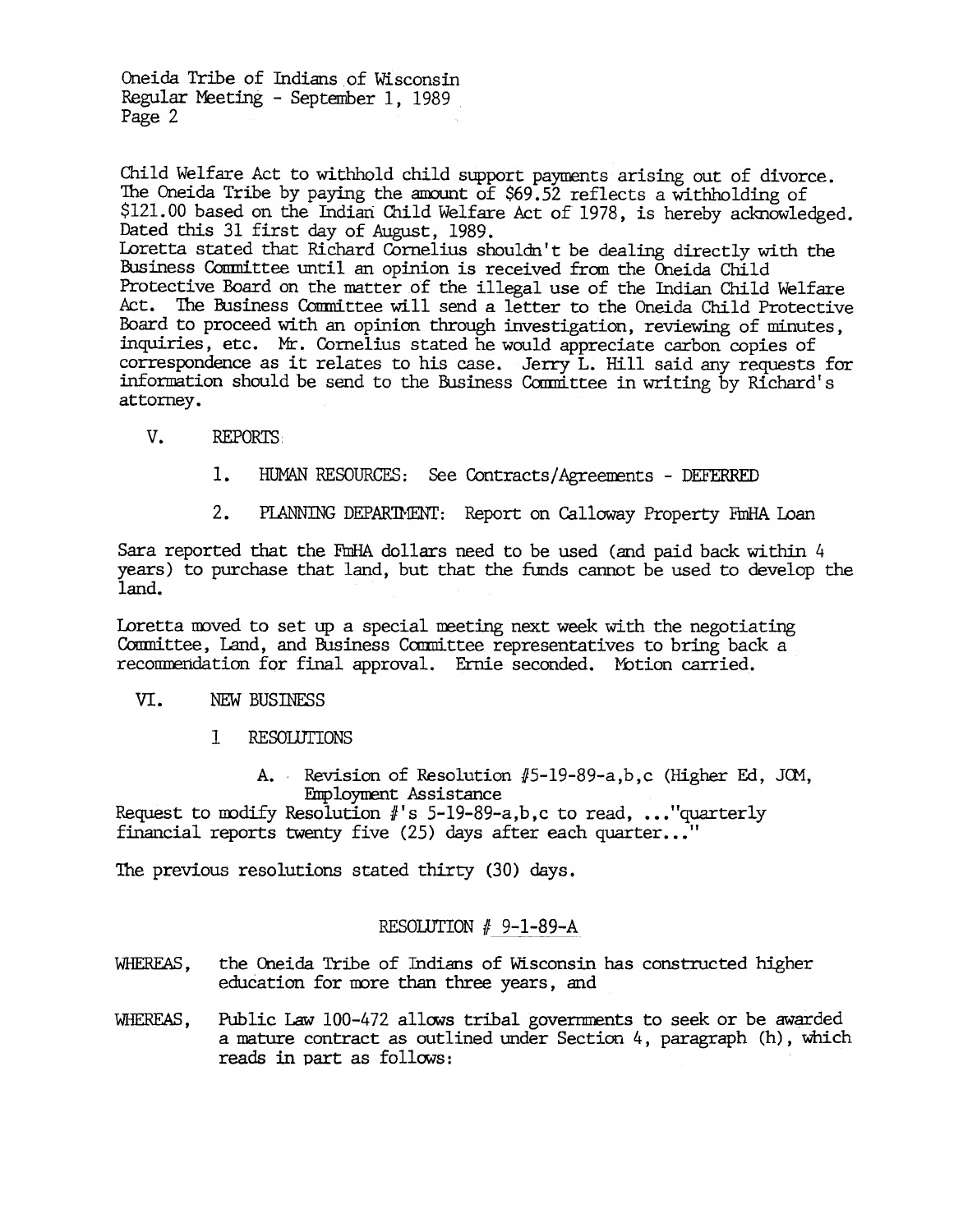Child Welfare Act to withhold child support payments arising out of divorce. The Oneida Tribe by paying the amount of \$69.52 reflects a withholding of \$121.00 based on the Indian Child Welfare Act of 1978, is hereby acknowledged. Dated this 31 first day of August, 1989. Loretta stated that Richard Cornelius shouldn't be dealing directly with the Business Conmittee until an opinion is received fran the Oneida Child Protective Board on the matter of the illegal use of the Indian Child Welfare Act. The Business Conmittee will send a letter to the Oneida Child Protective Board to proceed with an opinion through investigation, reviewing of minutes, inquiries, etc. Mr. Cornelius stated he would appreciate carbon copies of correspondence as it relates to his case. Jerry L. Hill said any requests for information should be send to the Business Committee in writing by Richard's attorney.

- v. REPORTS
	- 1. HUMAN RESOURCES: See Contracts/Agreements - DEFERRED
	- 2. PIANNING DEPARTMENT: Report on Calloway Property FmHA Loan

Sara reported that the FmHA dollars need to be used (and paid back within 4 years) to purchase that land, but that the funds cannot be used to develop the land.

Loretta moved to set up a special meeting next week with the negotiating Committee, Land, and Business Committee representatives to bring back a recommendation for final approval. Ernie seconded. Motion carried.

#### VI. NEW BUSINESS

- 1 RESOUJrIONS
	- A. Revision of Resolution  $#5$ -19-89-a,b,c (Higher Ed, JOM, Employment Assistance

Request to modify Resolution  $\#$ 's 5-19-89-a,b,c to read, ..."quarterly financial reports twenty five (25) days after each quarter..."

The previous resolutions stated thirty (30) days.

### RESOLUTION  $# 9-1-89-A$

- WHEREAS, the Oneida Tribe of Indians of Wisconsin has constructed higher education for more than three years, and
- WHEREAS, Public Law 100-472 allows tribal governments to seek or be awarded a mature contract as outlined under Section 4, paragraph (h), which reads in part as follows: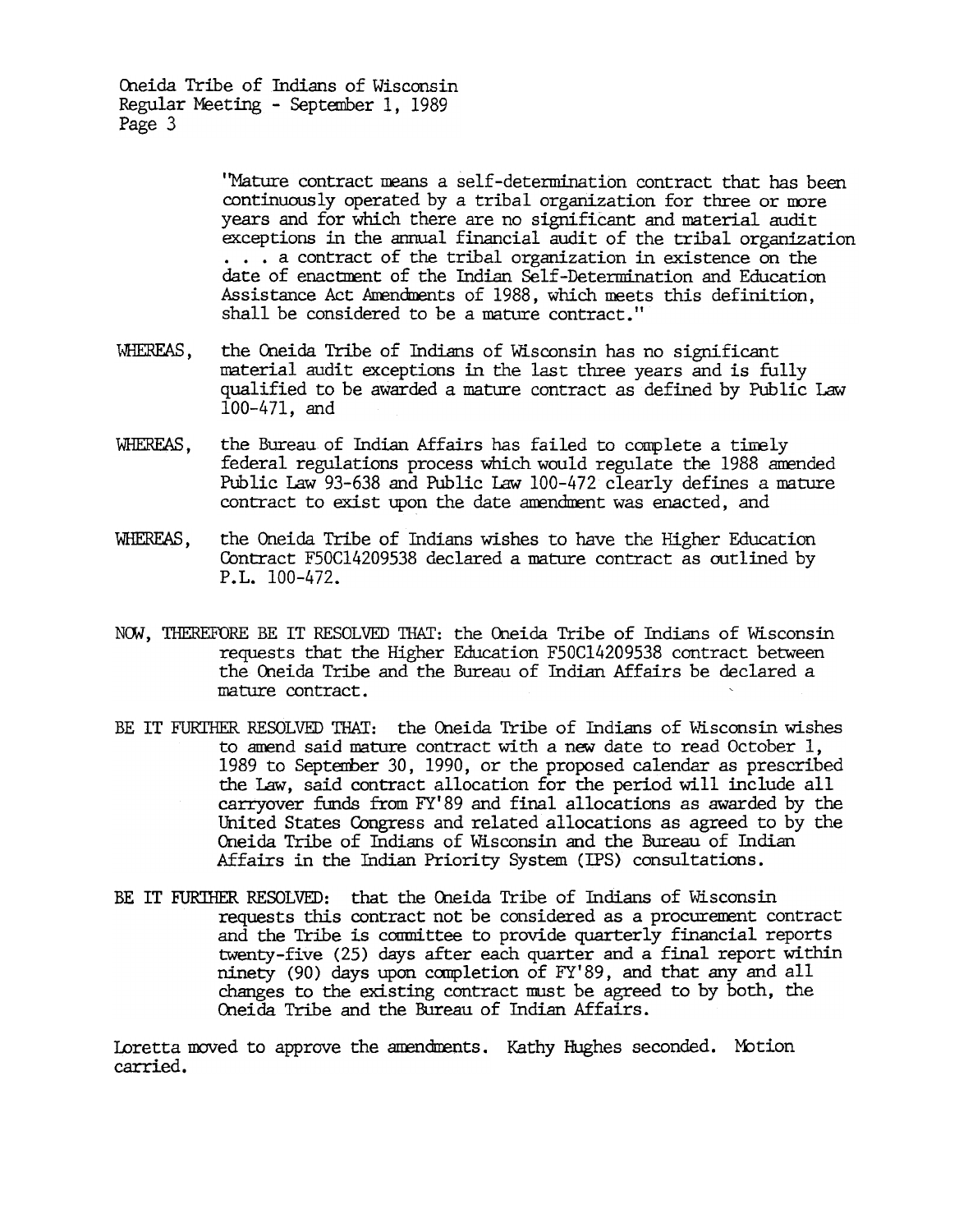> 'Mature contract means a self-determination contract that has been continuously operated by a tribal organization for three or nore years and for which there are no significant and material audit exceptions in the annual financial audit of the tribal organization ...a contract of the tribal organization in existence on the date of enactment of the Indian Self-Determination and Education Assistance Act Amendments of 1988, which meets this definition, shall be considered to be a mature contract."

- WHEREAS, the Oneida Tribe of Indians of Wisconsin has no significant material audit exceptions in the last three years and is fully qualified to be awarded a mature contract as defined by Public Law 100-471, and
- WHEREAS, the Bureau of Indian Affairs has failed to complete a timely federal regulations process which would regulate the 1988 amended PUblic Law 93-638 and PUblic Law 100-472 clearly defines a mature contract to exist upon the date amendment was enacted, and
- WHEREAS, the Oneida Tribe of Indians wishes to have the Higher Education Contract F50C14209538 declared a mature contract as outlined by P.L. 100-472.
- NOW, THEREFORE BE IT RESOLVED THAT: the Oneida Tribe of Indians of Wisconsin requests that the Higher Education F50C14209538 contract between the Oneida Tribe and the Bureau of Indian Affairs be declared a mature contract.
- BE IT FURTHER RESOLVED THAT: the Oneida Tribe of Indians of Wisconsin wishes to amend said mature contract with a new date to read October  $1$ , 1989 to September 30, 1990, or the proposed calendar as prescribed the Law, said contract allocation for the period will include all carryover funds from FYI89 and final allocations as awarded by the United States Congress and related allocations as agreed to by the Oneida Tribe of Indians of Wisconsin and the Bureau of Indian Affairs in the Indian Priority System (IPS) consultations.
- BE IT FURTHER RESOLVED: that the Oneida Tribe of Indians of Wisconsin requests this contract not be considered as a procurement contract and the Tribe is committee to provide quarterly financial reports twenty-five (25) days after each quarter and a final report within ninety (90) days upon completion of FY'89, and that any and all changes to the existing contract must be agreed to by both, the Cneida Tribe and the Bureau of Indian Affairs.

Loretta moved to approve the amendments. Kathy Hughes seconded. Motion carried.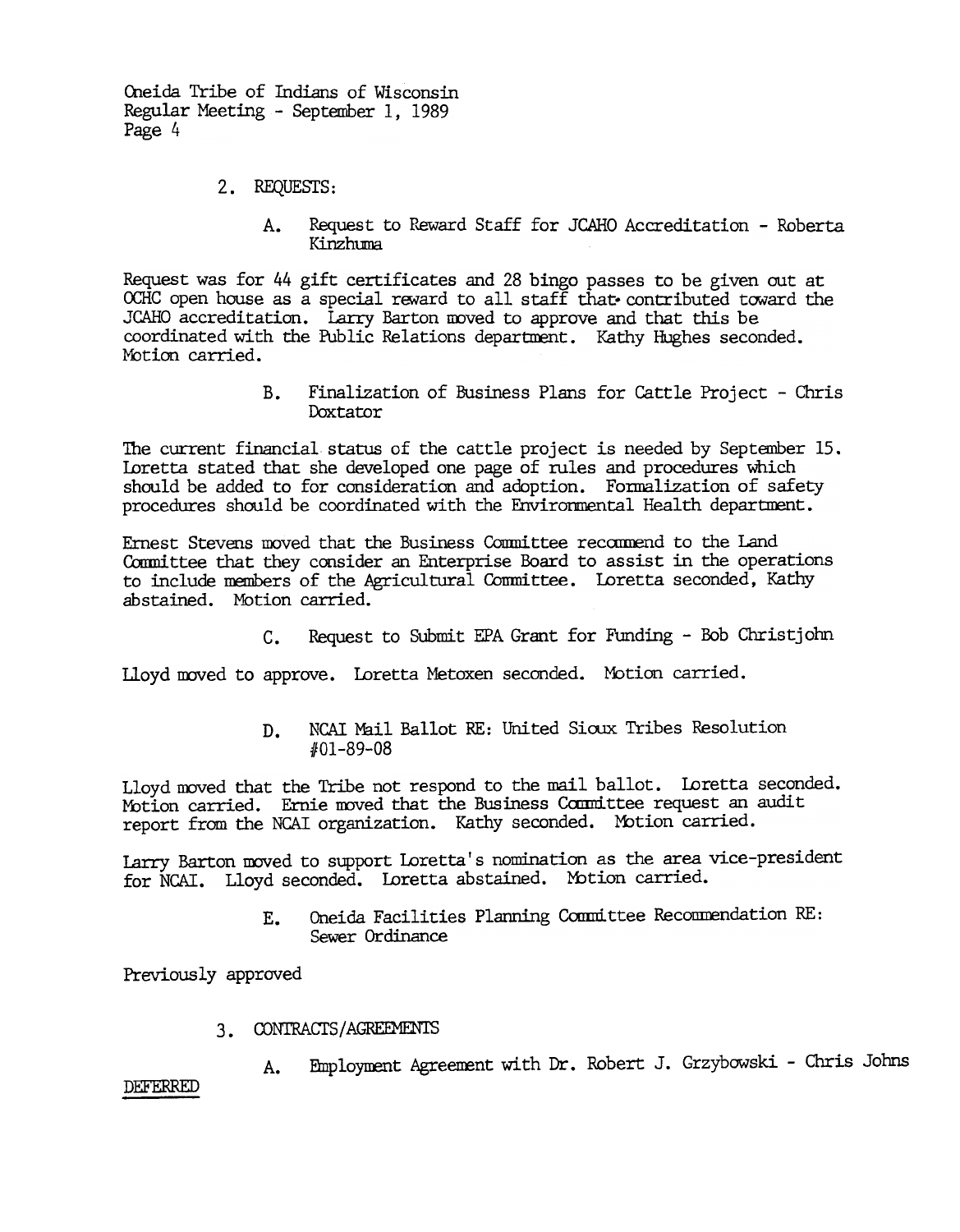- 2. REQUESTS:
	- Request to Reward Staff for JCAHO Accreditation Roberta  $A_{\bullet}$ Kinzhuma

Request was for 44 gift certificates and 28 bingo passes to be given out at OCHC open house as a special reward to all staff that contributed toward the JCAHO accreditation. Larry Barton moved to approve and that this be coordinated with the Public Relations department. Kathy Hughes seconded. Motion carried.

> B. Finalization of Business Plans for Cattle Project - Chris Doxtator

The current financial status of the cattle project is needed by September 15. Loretta stated that she developed one page of rules and procedures which should be added to for consideration and adoption. Formalization of safety procedures should be coordinated with the Environmental Health department.

Ernest Stevens moved that the Business Committee recommend to the Land Conmittee that they consider an Enterprise Board to assist in the operations to include members of the Agricultural Committee. Loretta seconded, Kathy abstained. Motion carried.

C. Request to Submit EPA Grant for Funding - Bob Christjohn

Lloyd moved to approve. Loretta Metoxen seconded. Motion carried.

NCAI Mail Ballot RE: United Sioux Tribes Resolution D. 1101-89-08

Lloyd moved that the Tribe not respond to the mail ballot. Loretta seconded. Motion carried. Ernie moved that the Business Committee request an audit report from the NCAI organization. Kathy seconded. Motion carried.

Larry Barton moved to support Loretta's nomination as the area vice-president for NCAI. Lloyd seconded. Loretta abstained. Motion carried.

> Oneida Facilities Planning Committee Recommendation RE: Ε. Sewer Ordinance

Previously approved

- 3. CONTRACTS/AGREEMENTS
- 3. A. Employment Agreement with Dr. Robert J. Grzybowski Chris Johns<br>DEFERRED

DEFERRED